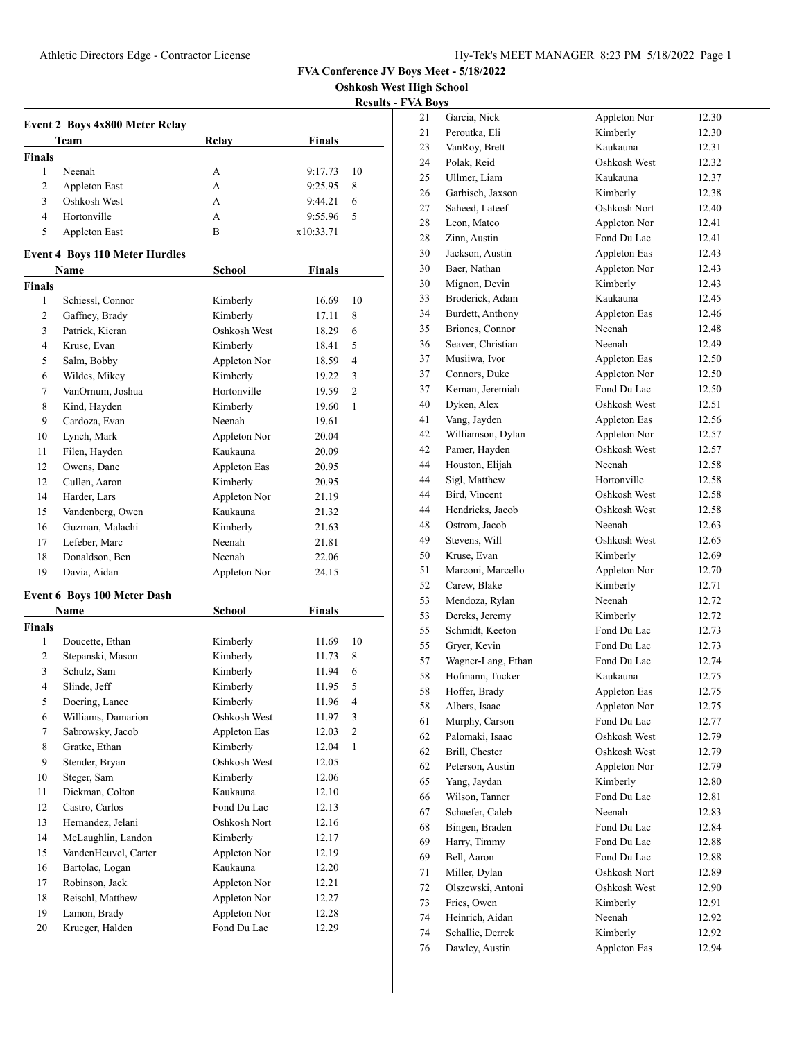**Oshkosh West High School**

**Results - FVA Boys**

|               |                                       |               |               | ncsuns         |
|---------------|---------------------------------------|---------------|---------------|----------------|
|               | Event 2 Boys 4x800 Meter Relay        |               |               |                |
|               | Team                                  | <b>Relay</b>  | <b>Finals</b> |                |
| <b>Finals</b> |                                       |               |               |                |
| 1             | Neenah                                | А             | 9:17.73       | 10             |
| 2             | Appleton East                         | А             | 9:25.95       | 8              |
| 3             | Oshkosh West                          | A             | 9:44.21       | 6              |
| 4             | Hortonville                           | А             | 9:55.96       | 5              |
| 5             | Appleton East                         | B             | x10:33.71     |                |
|               |                                       |               |               |                |
|               | <b>Event 4 Boys 110 Meter Hurdles</b> |               |               |                |
|               | Name                                  | School        | <b>Finals</b> |                |
| <b>Finals</b> |                                       |               |               |                |
| 1             | Schiessl, Connor                      | Kimberly      | 16.69         | 10             |
| 2             | Gaffney, Brady                        | Kimberly      | 17.11         | 8              |
| 3             | Patrick, Kieran                       | Oshkosh West  | 18.29         | 6              |
| 4             | Kruse, Evan                           | Kimberly      | 18.41         | 5              |
| 5             | Salm, Bobby                           | Appleton Nor  | 18.59         | 4              |
| 6             | Wildes, Mikey                         | Kimberly      | 19.22         | 3              |
| 7             | VanOrnum, Joshua                      | Hortonville   | 19.59         | 2              |
| 8             | Kind, Hayden                          | Kimberly      | 19.60         | 1              |
| 9             | Cardoza, Evan                         | Neenah        | 19.61         |                |
| 10            | Lynch, Mark                           | Appleton Nor  | 20.04         |                |
| 11            | Filen, Hayden                         | Kaukauna      | 20.09         |                |
| 12            | Owens, Dane                           | Appleton Eas  | 20.95         |                |
| 12            | Cullen, Aaron                         | Kimberly      | 20.95         |                |
| 14            | Harder, Lars                          | Appleton Nor  | 21.19         |                |
| 15            | Vandenberg, Owen                      | Kaukauna      | 21.32         |                |
| 16            | Guzman, Malachi                       | Kimberly      | 21.63         |                |
| 17            | Lefeber, Marc                         | Neenah        | 21.81         |                |
| 18            | Donaldson, Ben                        | Neenah        | 22.06         |                |
| 19            | Davia, Aidan                          | Appleton Nor  | 24.15         |                |
|               |                                       |               |               |                |
|               | <b>Event 6 Boys 100 Meter Dash</b>    |               |               |                |
|               | Name                                  | <b>School</b> | Finals        |                |
| <b>Finals</b> |                                       |               |               |                |
| 1             | Doucette, Ethan                       | Kimberly      | 11.69         | 10             |
| 2             | Stepanski, Mason                      | Kimberly      | 11.73         | 8              |
| 3             | Schulz, Sam                           | Kimberly      | 11.94         | 6              |
| 4             | Slinde, Jeff                          | Kimberly      | 11.95         | 5              |
| 5             | Doering, Lance                        | Kimberly      | 11.96         | 4              |
| 6             | Williams, Damarion                    | Oshkosh West  | 11.97         | 3              |
| 7             | Sabrowsky, Jacob                      | Appleton Eas  | 12.03         | $\overline{c}$ |
| 8             | Gratke, Ethan                         | Kimberly      | 12.04         | $\mathbf{1}$   |
| 9             | Stender, Bryan                        | Oshkosh West  | 12.05         |                |
| 10            | Steger, Sam                           | Kimberly      | 12.06         |                |
| 11            | Dickman, Colton                       | Kaukauna      | 12.10         |                |
| 12            | Castro, Carlos                        | Fond Du Lac   | 12.13         |                |
| 13            | Hernandez, Jelani                     | Oshkosh Nort  | 12.16         |                |
| 14            | McLaughlin, Landon                    | Kimberly      | 12.17         |                |
| 15            | VandenHeuvel, Carter                  | Appleton Nor  | 12.19         |                |
| 16            | Bartolac, Logan                       | Kaukauna      | 12.20         |                |
| 17            | Robinson, Jack                        | Appleton Nor  | 12.21         |                |
| 18            | Reischl, Matthew                      | Appleton Nor  | 12.27         |                |
| 19            | Lamon, Brady                          | Appleton Nor  | 12.28         |                |
| 20            | Krueger, Halden                       | Fond Du Lac   | 12.29         |                |
|               |                                       |               |               |                |

| 21 | Garcia, Nick       | Appleton Nor | 12.30 |
|----|--------------------|--------------|-------|
| 21 | Peroutka, Eli      | Kimberly     | 12.30 |
| 23 | VanRoy, Brett      | Kaukauna     | 12.31 |
| 24 | Polak, Reid        | Oshkosh West | 12.32 |
| 25 | Ullmer, Liam       | Kaukauna     | 12.37 |
| 26 | Garbisch, Jaxson   | Kimberly     | 12.38 |
| 27 | Saheed, Lateef     | Oshkosh Nort | 12.40 |
| 28 | Leon, Mateo        | Appleton Nor | 12.41 |
| 28 | Zinn, Austin       | Fond Du Lac  | 12.41 |
| 30 | Jackson, Austin    | Appleton Eas | 12.43 |
| 30 | Baer, Nathan       | Appleton Nor | 12.43 |
| 30 | Mignon, Devin      | Kimberly     | 12.43 |
| 33 | Broderick, Adam    | Kaukauna     | 12.45 |
| 34 | Burdett, Anthony   | Appleton Eas | 12.46 |
| 35 | Briones, Connor    | Neenah       | 12.48 |
| 36 | Seaver, Christian  | Neenah       |       |
|    | Musiiwa, Ivor      |              | 12.49 |
| 37 |                    | Appleton Eas | 12.50 |
| 37 | Connors, Duke      | Appleton Nor | 12.50 |
| 37 | Kernan, Jeremiah   | Fond Du Lac  | 12.50 |
| 40 | Dyken, Alex        | Oshkosh West | 12.51 |
| 41 | Vang, Jayden       | Appleton Eas | 12.56 |
| 42 | Williamson, Dylan  | Appleton Nor | 12.57 |
| 42 | Pamer, Hayden      | Oshkosh West | 12.57 |
| 44 | Houston, Elijah    | Neenah       | 12.58 |
| 44 | Sigl, Matthew      | Hortonville  | 12.58 |
| 44 | Bird, Vincent      | Oshkosh West | 12.58 |
| 44 | Hendricks, Jacob   | Oshkosh West | 12.58 |
| 48 | Ostrom, Jacob      | Neenah       | 12.63 |
| 49 | Stevens, Will      | Oshkosh West | 12.65 |
| 50 | Kruse, Evan        | Kimberly     | 12.69 |
| 51 | Marconi, Marcello  | Appleton Nor | 12.70 |
| 52 | Carew, Blake       | Kimberly     | 12.71 |
| 53 | Mendoza, Rylan     | Neenah       | 12.72 |
| 53 | Dercks, Jeremy     | Kimberly     | 12.72 |
| 55 | Schmidt, Keeton    | Fond Du Lac  | 12.73 |
| 55 | Gryer, Kevin       | Fond Du Lac  | 12.73 |
| 57 | Wagner-Lang, Ethan | Fond Du Lac  | 12.74 |
| 58 | Hofmann, Tucker    | Kaukauna     | 12.75 |
| 58 | Hoffer, Brady      | Appleton Eas | 12.75 |
| 58 | Albers, Isaac      | Appleton Nor | 12.75 |
| 61 | Murphy, Carson     | Fond Du Lac  | 12.77 |
| 62 | Palomaki, Isaac    | Oshkosh West | 12.79 |
| 62 | Brill, Chester     | Oshkosh West | 12.79 |
| 62 | Peterson, Austin   | Appleton Nor | 12.79 |
| 65 | Yang, Jaydan       | Kimberly     | 12.80 |
| 66 | Wilson, Tanner     | Fond Du Lac  | 12.81 |
| 67 | Schaefer, Caleb    | Neenah       | 12.83 |
| 68 | Bingen, Braden     | Fond Du Lac  | 12.84 |
| 69 | Harry, Timmy       | Fond Du Lac  | 12.88 |
| 69 | Bell, Aaron        | Fond Du Lac  | 12.88 |
| 71 | Miller, Dylan      | Oshkosh Nort | 12.89 |
| 72 | Olszewski, Antoni  | Oshkosh West | 12.90 |
| 73 | Fries, Owen        | Kimberly     | 12.91 |
| 74 | Heinrich, Aidan    | Neenah       | 12.92 |
| 74 | Schallie, Derrek   | Kimberly     | 12.92 |
| 76 | Dawley, Austin     | Appleton Eas | 12.94 |
|    |                    |              |       |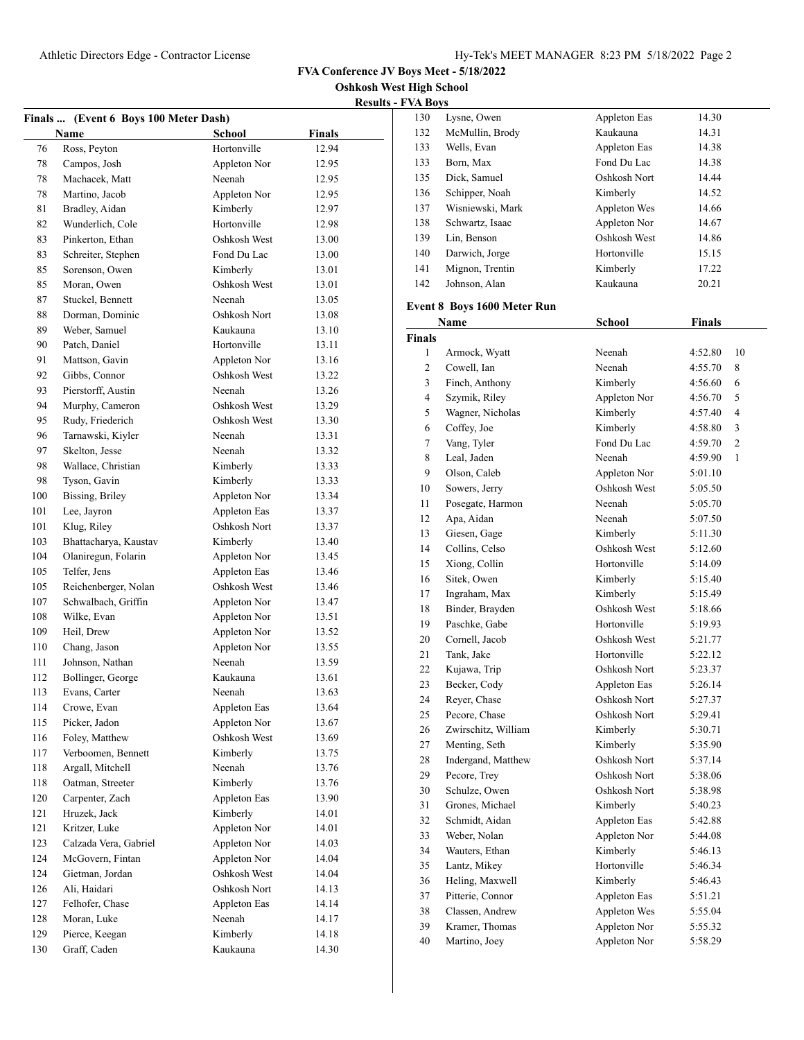130 Lysne, Owen Appleton Eas 14.30

**FVA Conference JV Boys Meet - 5/18/2022**

**Oshkosh West High School**

|                           | - |  |
|---------------------------|---|--|
| <b>Results - FVA Boys</b> |   |  |

|     | Finals  (Event 6 Boys 100 Meter Dash) |               |               |
|-----|---------------------------------------|---------------|---------------|
|     | Name                                  | <b>School</b> | <b>Finals</b> |
| 76  | Ross, Peyton                          | Hortonville   | 12.94         |
| 78  | Campos, Josh                          | Appleton Nor  | 12.95         |
| 78  | Machacek, Matt                        | Neenah        | 12.95         |
| 78  | Martino, Jacob                        | Appleton Nor  | 12.95         |
| 81  | Bradley, Aidan                        | Kimberly      | 12.97         |
| 82  | Wunderlich, Cole                      | Hortonville   | 12.98         |
| 83  | Pinkerton, Ethan                      | Oshkosh West  | 13.00         |
| 83  | Schreiter, Stephen                    | Fond Du Lac   | 13.00         |
| 85  | Sorenson, Owen                        | Kimberly      | 13.01         |
| 85  | Moran, Owen                           | Oshkosh West  | 13.01         |
| 87  | Stuckel, Bennett                      | Neenah        | 13.05         |
| 88  | Dorman, Dominic                       | Oshkosh Nort  | 13.08         |
| 89  | Weber, Samuel                         | Kaukauna      | 13.10         |
| 90  | Patch, Daniel                         | Hortonville   | 13.11         |
| 91  | Mattson, Gavin                        | Appleton Nor  | 13.16         |
| 92  | Gibbs, Connor                         | Oshkosh West  | 13.22         |
| 93  | Pierstorff, Austin                    | Neenah        | 13.26         |
| 94  | Murphy, Cameron                       | Oshkosh West  | 13.29         |
| 95  | Rudy, Friederich                      | Oshkosh West  | 13.30         |
| 96  | Tarnawski, Kiyler                     | Neenah        | 13.31         |
| 97  | Skelton, Jesse                        | Neenah        | 13.32         |
| 98  | Wallace, Christian                    | Kimberly      | 13.33         |
| 98  | Tyson, Gavin                          | Kimberly      | 13.33         |
| 100 | Bissing, Briley                       | Appleton Nor  | 13.34         |
| 101 | Lee, Jayron                           | Appleton Eas  | 13.37         |
| 101 | Klug, Riley                           | Oshkosh Nort  | 13.37         |
| 103 | Bhattacharya, Kaustav                 | Kimberly      | 13.40         |
| 104 | Olaniregun, Folarin                   | Appleton Nor  | 13.45         |
| 105 | Telfer, Jens                          | Appleton Eas  | 13.46         |
| 105 | Reichenberger, Nolan                  | Oshkosh West  | 13.46         |
| 107 | Schwalbach, Griffin                   | Appleton Nor  | 13.47         |
| 108 | Wilke, Evan                           | Appleton Nor  | 13.51         |
| 109 | Heil, Drew                            | Appleton Nor  | 13.52         |
| 110 | Chang, Jason                          | Appleton Nor  | 13.55         |
| 111 | Johnson, Nathan                       | Neenah        | 13.59         |
| 112 | Bollinger, George                     | Kaukauna      | 13.61         |
| 113 | Evans, Carter                         | Neenah        | 13.63         |
| 114 | Crowe, Evan                           | Appleton Eas  | 13.64         |
| 115 | Picker, Jadon                         | Appleton Nor  | 13.67         |
| 116 | Foley, Matthew                        | Oshkosh West  | 13.69         |
| 117 | Verboomen, Bennett                    | Kimberly      | 13.75         |
| 118 | Argall, Mitchell                      | Neenah        | 13.76         |
| 118 | Oatman, Streeter                      | Kimberly      | 13.76         |
| 120 | Carpenter, Zach                       | Appleton Eas  | 13.90         |
| 121 | Hruzek, Jack                          | Kimberly      | 14.01         |
| 121 | Kritzer, Luke                         | Appleton Nor  | 14.01         |
| 123 | Calzada Vera, Gabriel                 | Appleton Nor  | 14.03         |
| 124 | McGovern, Fintan                      | Appleton Nor  | 14.04         |
| 124 | Gietman, Jordan                       | Oshkosh West  | 14.04         |
| 126 | Ali, Haidari                          | Oshkosh Nort  | 14.13         |
| 127 | Felhofer, Chase                       | Appleton Eas  | 14.14         |
| 128 | Moran, Luke                           | Neenah        | 14.17         |
| 129 | Pierce, Keegan                        | Kimberly      | 14.18         |
| 130 | Graff, Caden                          | Kaukauna      | 14.30         |

| 132           | McMullin, Brody                    | Kaukauna      | 14.31         |    |
|---------------|------------------------------------|---------------|---------------|----|
| 133           | Wells, Evan                        | Appleton Eas  | 14.38         |    |
| 133           | Born, Max                          | Fond Du Lac   | 14.38         |    |
| 135           | Dick, Samuel                       | Oshkosh Nort  | 14.44         |    |
| 136           | Schipper, Noah                     | Kimberly      | 14.52         |    |
| 137           | Wisniewski, Mark                   | Appleton Wes  | 14.66         |    |
| 138           | Schwartz, Isaac                    | Appleton Nor  | 14.67         |    |
| 139           | Lin, Benson                        | Oshkosh West  | 14.86         |    |
| 140           | Darwich, Jorge                     | Hortonville   | 15.15         |    |
| 141           | Mignon, Trentin                    | Kimberly      | 17.22         |    |
| 142           | Johnson, Alan                      | Kaukauna      | 20.21         |    |
|               |                                    |               |               |    |
|               | <b>Event 8 Boys 1600 Meter Run</b> |               |               |    |
|               | Name                               | <b>School</b> | <b>Finals</b> |    |
| <b>Finals</b> |                                    |               |               |    |
| $\mathbf{1}$  | Armock, Wyatt                      | Neenah        | 4:52.80       | 10 |
| 2             | Cowell, Ian                        | Neenah        | 4:55.70       | 8  |
| 3             | Finch, Anthony                     | Kimberly      | 4:56.60       | 6  |
| 4             | Szymik, Riley                      | Appleton Nor  | 4:56.70       | 5  |
| 5             | Wagner, Nicholas                   | Kimberly      | 4:57.40       | 4  |
| 6             | Coffey, Joe                        | Kimberly      | 4:58.80       | 3  |
| 7             | Vang, Tyler                        | Fond Du Lac   | 4:59.70       | 2  |
| 8             | Leal, Jaden                        | Neenah        | 4:59.90       | 1  |
| 9             | Olson, Caleb                       | Appleton Nor  | 5:01.10       |    |
| 10            | Sowers, Jerry                      | Oshkosh West  | 5:05.50       |    |
| 11            | Posegate, Harmon                   | Neenah        | 5:05.70       |    |
| 12            | Apa, Aidan                         | Neenah        | 5:07.50       |    |
| 13            | Giesen, Gage                       | Kimberly      | 5:11.30       |    |
| 14            | Collins, Celso                     | Oshkosh West  | 5:12.60       |    |
| 15            | Xiong, Collin                      | Hortonville   | 5:14.09       |    |
| 16            | Sitek, Owen                        | Kimberly      | 5:15.40       |    |
| 17            | Ingraham, Max                      | Kimberly      | 5:15.49       |    |
| 18            | Binder, Brayden                    | Oshkosh West  | 5:18.66       |    |
| 19            | Paschke, Gabe                      | Hortonville   | 5:19.93       |    |
| 20            | Cornell, Jacob                     | Oshkosh West  | 5:21.77       |    |
| 21            | Tank, Jake                         | Hortonville   | 5:22.12       |    |
| 22            | Kujawa, Trip                       | Oshkosh Nort  | 5:23.37       |    |
| 23            | Becker, Cody                       | Appleton Eas  | 5:26.14       |    |
| 24            | Reyer, Chase                       | Oshkosh Nort  | 5:27.37       |    |
| 25            | Pecore, Chase                      | Oshkosh Nort  | 5:29.41       |    |
| 26            | Zwirschitz, William                | Kimberly      | 5:30.71       |    |
| 27            | Menting, Seth                      | Kimberly      | 5:35.90       |    |
| 28            | Indergand, Matthew                 | Oshkosh Nort  | 5:37.14       |    |
| 29            | Pecore, Trey                       | Oshkosh Nort  | 5:38.06       |    |
| 30            | Schulze, Owen                      | Oshkosh Nort  | 5:38.98       |    |
| 31            | Grones, Michael                    | Kimberly      | 5:40.23       |    |
| 32            | Schmidt, Aidan                     | Appleton Eas  | 5:42.88       |    |
| 33            | Weber, Nolan                       | Appleton Nor  | 5:44.08       |    |
| 34            | Wauters, Ethan                     | Kimberly      | 5:46.13       |    |
| 35            | Lantz, Mikey                       | Hortonville   | 5:46.34       |    |
| 36            | Heling, Maxwell                    | Kimberly      | 5:46.43       |    |
| 37            | Pitterie, Connor                   | Appleton Eas  | 5:51.21       |    |
| 38            | Classen, Andrew                    | Appleton Wes  | 5:55.04       |    |
| 39            | Kramer, Thomas                     | Appleton Nor  | 5:55.32       |    |
| 40            | Martino, Joey                      | Appleton Nor  | 5:58.29       |    |
|               |                                    |               |               |    |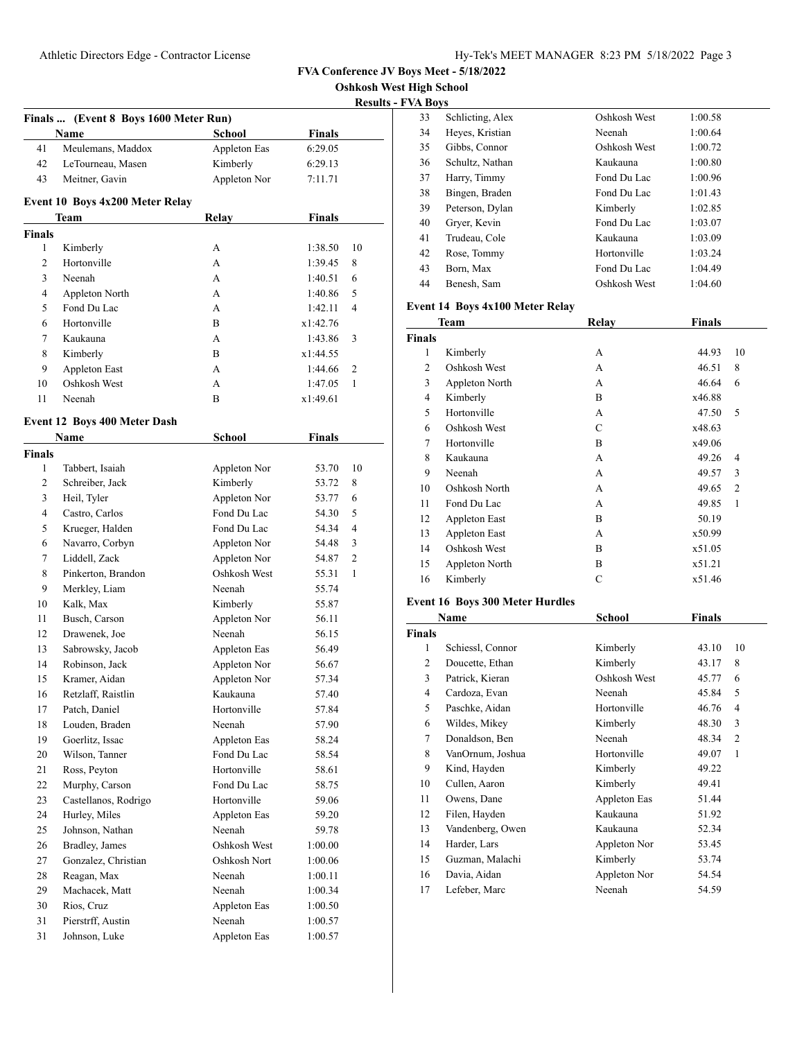**Oshkosh West High School**

|               |                                       |               |               | Kesults –      |
|---------------|---------------------------------------|---------------|---------------|----------------|
|               | Finals  (Event 8 Boys 1600 Meter Run) |               |               |                |
|               | Name                                  | <b>School</b> | Finals        |                |
| 41            | Meulemans, Maddox                     | Appleton Eas  | 6:29.05       |                |
| 42            | LeTourneau, Masen                     | Kimberly      | 6:29.13       |                |
| 43            | Meitner, Gavin                        | Appleton Nor  | 7:11.71       |                |
|               | Event 10 Boys 4x200 Meter Relay       |               |               |                |
|               | Team                                  | Relay         | <b>Finals</b> |                |
| <b>Finals</b> |                                       |               |               |                |
| 1             | Kimberly                              | А             | 1:38.50       | 10             |
| 2             | Hortonville                           | A             | 1:39.45       | 8              |
| 3             | Neenah                                | А             | 1:40.51       | 6              |
| 4             | Appleton North                        | A             | 1:40.86       | 5              |
| 5             | Fond Du Lac                           | А             | 1:42.11       | $\overline{4}$ |
| 6             | Hortonville                           | B             | x1:42.76      |                |
| 7             | Kaukauna                              | A             | 1:43.86       | 3              |
| 8             | Kimberly                              | B             | x1:44.55      |                |
| 9             | Appleton East                         | A             | 1:44.66       | 2              |
| 10            | Oshkosh West                          | A             | 1:47.05       | $\mathbf{1}$   |
| 11            | Neenah                                | B             | x1:49.61      |                |
|               | Event 12 Boys 400 Meter Dash          |               |               |                |
|               | Name                                  | <b>School</b> | Finals        |                |
| <b>Finals</b> |                                       |               |               |                |
| 1             | Tabbert, Isaiah                       | Appleton Nor  | 53.70         | 10             |
| 2             | Schreiber, Jack                       | Kimberly      | 53.72         | 8              |
| 3             | Heil, Tyler                           | Appleton Nor  | 53.77         | 6              |
| 4             | Castro, Carlos                        | Fond Du Lac   | 54.30         | 5              |
| 5             | Krueger, Halden                       | Fond Du Lac   | 54.34         | $\overline{4}$ |
| 6             | Navarro, Corbyn                       | Appleton Nor  | 54.48         | 3              |
| 7             | Liddell, Zack                         | Appleton Nor  | 54.87         | $\overline{2}$ |
| 8             | Pinkerton, Brandon                    | Oshkosh West  | 55.31         | 1              |
| 9             | Merkley, Liam                         | Neenah        | 55.74         |                |
| 10            | Kalk, Max                             | Kimberly      | 55.87         |                |
| 11            | Busch, Carson                         | Appleton Nor  | 56.11         |                |
| 12            | Drawenek, Joe                         | Neenah        | 56.15         |                |
| 13            | Sabrowsky, Jacob                      | Appleton Eas  | 56.49         |                |
| 14            | Robinson, Jack                        | Appleton Nor  | 56.67         |                |
| 15            | Kramer, Aidan                         | Appleton Nor  | 57.34         |                |
| 16            | Retzlaff, Raistlin                    | Kaukauna      | 57.40         |                |
| 17            | Patch, Daniel                         | Hortonville   | 57.84         |                |
| 18            | Louden, Braden                        | Neenah        | 57.90         |                |
| 19            | Goerlitz, Issac                       | Appleton Eas  | 58.24         |                |
| 20            | Wilson, Tanner                        | Fond Du Lac   | 58.54         |                |
| 21            | Ross, Peyton                          | Hortonville   | 58.61         |                |
| 22            | Murphy, Carson                        | Fond Du Lac   | 58.75         |                |
| 23            | Castellanos, Rodrigo                  | Hortonville   | 59.06         |                |
| 24            | Hurley, Miles                         | Appleton Eas  | 59.20         |                |
| 25            | Johnson, Nathan                       | Neenah        | 59.78         |                |
| 26            | Bradley, James                        | Oshkosh West  | 1:00.00       |                |
| 27            | Gonzalez, Christian                   | Oshkosh Nort  | 1:00.06       |                |
| 28            | Reagan, Max                           | Neenah        | 1:00.11       |                |
| 29            | Machacek, Matt                        | Neenah        | 1:00.34       |                |
| 30            | Rios, Cruz                            | Appleton Eas  | 1:00.50       |                |
| 31            | Pierstrff, Austin                     | Neenah        | 1:00.57       |                |
| 31            | Johnson, Luke                         | Appleton Eas  | 1:00.57       |                |
|               |                                       |               |               |                |

| 33 | Schlicting, Alex | Oshkosh West | 1:00.58 |
|----|------------------|--------------|---------|
| 34 | Heyes, Kristian  | Neenah       | 1:00.64 |
| 35 | Gibbs, Connor    | Oshkosh West | 1:00.72 |
| 36 | Schultz, Nathan  | Kaukauna     | 1:00.80 |
| 37 | Harry, Timmy     | Fond Du Lac  | 1:00.96 |
| 38 | Bingen, Braden   | Fond Du Lac  | 1:01.43 |
| 39 | Peterson, Dylan  | Kimberly     | 1:02.85 |
| 40 | Gryer, Kevin     | Fond Du Lac  | 1:03.07 |
| 41 | Trudeau, Cole    | Kaukauna     | 1:03.09 |
| 42 | Rose, Tommy      | Hortonville  | 1:03.24 |
| 43 | Born, Max        | Fond Du Lac  | 1:04.49 |
| 44 | Benesh, Sam      | Oshkosh West | 1:04.60 |
|    |                  |              |         |

### **Event 14 Boys 4x100 Meter Relay**

| <b>Team</b>    |                      | Relay | <b>Finals</b> |                |
|----------------|----------------------|-------|---------------|----------------|
| <b>Finals</b>  |                      |       |               |                |
| 1              | Kimberly             | А     | 44.93         | 10             |
| $\overline{2}$ | Oshkosh West         | А     | 46.51         | 8              |
| 3              | Appleton North       | А     | 46.64         | 6              |
| 4              | Kimberly             | B     | x46.88        |                |
| 5              | Hortonville          | А     | 47.50         | 5              |
| 6              | Oshkosh West         | C     | x48.63        |                |
| 7              | Hortonville          | B     | x49.06        |                |
| 8              | Kaukauna             | А     | 49.26         | 4              |
| 9              | Neenah               | А     | 49.57         | 3              |
| 10             | Oshkosh North        | А     | 49.65         | $\overline{2}$ |
| 11             | Fond Du Lac          | А     | 49.85         | 1              |
| 12             | <b>Appleton East</b> | B     | 50.19         |                |
| 13             | <b>Appleton East</b> | А     | x50.99        |                |
| 14             | Oshkosh West         | B     | x51.05        |                |
| 15             | Appleton North       | B     | x51.21        |                |
| 16             | Kimberly             | C     | x51.46        |                |

# **Event 16 Boys 300 Meter Hurdles**

|               | Name             | School       | Finals |                |
|---------------|------------------|--------------|--------|----------------|
| <b>Finals</b> |                  |              |        |                |
| 1             | Schiessl, Connor | Kimberly     | 43.10  | 10             |
| 2             | Doucette, Ethan  | Kimberly     | 43.17  | 8              |
| 3             | Patrick, Kieran  | Oshkosh West | 45.77  | 6              |
| 4             | Cardoza, Evan    | Neenah       | 45.84  | 5              |
| 5             | Paschke, Aidan   | Hortonville  | 46.76  | 4              |
| 6             | Wildes, Mikey    | Kimberly     | 48.30  | 3              |
| 7             | Donaldson, Ben   | Neenah       | 48.34  | $\overline{2}$ |
| 8             | VanOrnum, Joshua | Hortonville  | 49.07  | 1              |
| 9             | Kind, Hayden     | Kimberly     | 49.22  |                |
| 10            | Cullen, Aaron    | Kimberly     | 49.41  |                |
| 11            | Owens, Dane      | Appleton Eas | 51.44  |                |
| 12            | Filen, Hayden    | Kaukauna     | 51.92  |                |
| 13            | Vandenberg, Owen | Kaukauna     | 52.34  |                |
| 14            | Harder, Lars     | Appleton Nor | 53.45  |                |
| 15            | Guzman, Malachi  | Kimberly     | 53.74  |                |
| 16            | Davia, Aidan     | Appleton Nor | 54.54  |                |
| 17            | Lefeber, Marc    | Neenah       | 54.59  |                |
|               |                  |              |        |                |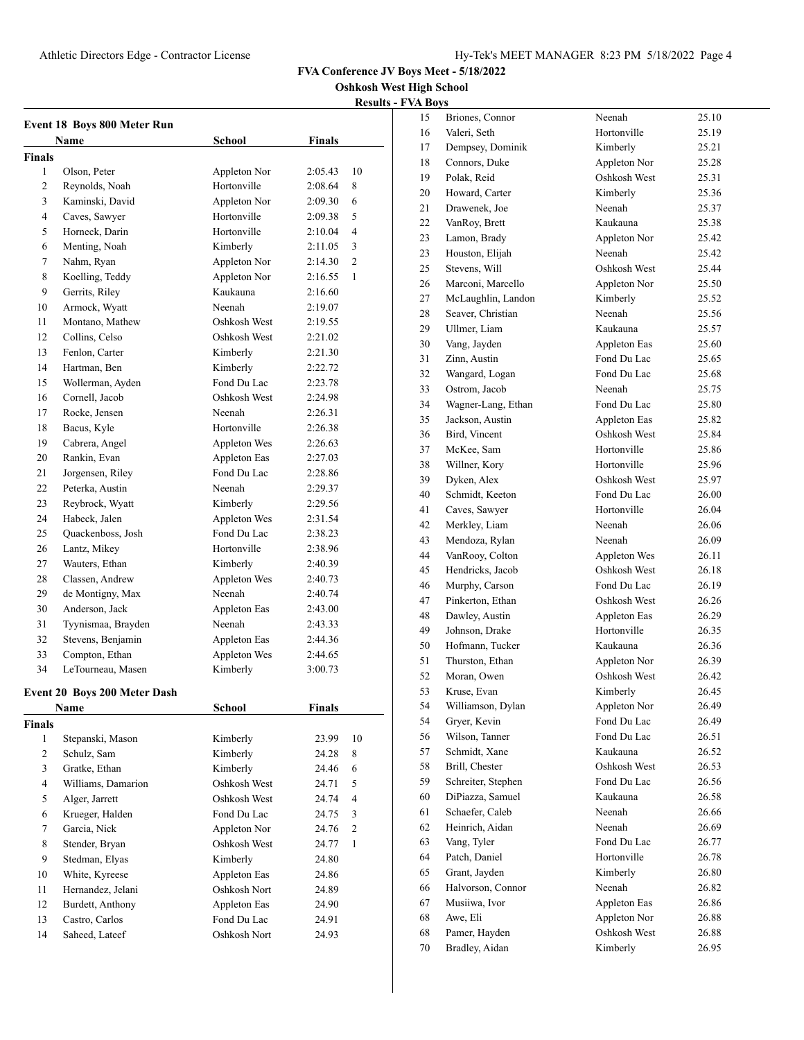**Oshkosh West High School**

| <b>Results - FVA Boys</b> |  |  |
|---------------------------|--|--|
|                           |  |  |

| Event 18 Boys 800 Meter Run |                                     |                             |               |                |  |
|-----------------------------|-------------------------------------|-----------------------------|---------------|----------------|--|
|                             | Name                                | School                      | Finals        |                |  |
| <b>Finals</b><br>1          |                                     |                             |               | 10             |  |
|                             | Olson, Peter                        | Appleton Nor                | 2:05.43       |                |  |
| 2<br>3                      | Reynolds, Noah                      | Hortonville                 | 2:08.64       | 8<br>6         |  |
|                             | Kaminski, David                     | Appleton Nor<br>Hortonville | 2:09.30       |                |  |
| $\overline{4}$              | Caves, Sawyer                       |                             | 2:09.38       | 5              |  |
| 5                           | Horneck, Darin                      | Hortonville                 | 2:10.04       | $\overline{4}$ |  |
| 6                           | Menting, Noah                       | Kimberly                    | 2:11.05       | 3              |  |
| 7                           | Nahm, Ryan                          | Appleton Nor                | 2:14.30       | $\overline{c}$ |  |
| 8                           | Koelling, Teddy                     | Appleton Nor                | 2:16.55       | 1              |  |
| 9                           | Gerrits, Riley                      | Kaukauna                    | 2:16.60       |                |  |
| 10                          | Armock, Wyatt                       | Neenah                      | 2:19.07       |                |  |
| 11                          | Montano, Mathew                     | Oshkosh West                | 2:19.55       |                |  |
| 12                          | Collins, Celso                      | Oshkosh West                | 2:21.02       |                |  |
| 13                          | Fenlon, Carter                      | Kimberly                    | 2:21.30       |                |  |
| 14                          | Hartman, Ben                        | Kimberly                    | 2:22.72       |                |  |
| 15                          | Wollerman, Ayden                    | Fond Du Lac                 | 2:23.78       |                |  |
| 16                          | Cornell, Jacob                      | Oshkosh West                | 2:24.98       |                |  |
| 17                          | Rocke, Jensen                       | Neenah                      | 2:26.31       |                |  |
| 18                          | Bacus, Kyle                         | Hortonville                 | 2:26.38       |                |  |
| 19                          | Cabrera, Angel                      | <b>Appleton Wes</b>         | 2:26.63       |                |  |
| 20                          | Rankin, Evan                        | Appleton Eas                | 2:27.03       |                |  |
| 21                          | Jorgensen, Riley                    | Fond Du Lac                 | 2:28.86       |                |  |
| 22                          | Peterka, Austin                     | Neenah                      | 2:29.37       |                |  |
| 23                          | Reybrock, Wyatt                     | Kimberly                    | 2:29.56       |                |  |
| 24                          | Habeck, Jalen                       | Appleton Wes                | 2:31.54       |                |  |
| 25                          | Quackenboss, Josh                   | Fond Du Lac                 | 2:38.23       |                |  |
| 26                          | Lantz, Mikey                        | Hortonville                 | 2:38.96       |                |  |
| 27                          | Wauters, Ethan                      | Kimberly                    | 2:40.39       |                |  |
| 28                          | Classen, Andrew                     | Appleton Wes                | 2:40.73       |                |  |
| 29                          | de Montigny, Max                    | Neenah                      | 2:40.74       |                |  |
| 30                          | Anderson, Jack                      | Appleton Eas                | 2:43.00       |                |  |
| 31                          | Tyynismaa, Brayden                  | Neenah                      | 2:43.33       |                |  |
| 32                          | Stevens, Benjamin                   | Appleton Eas                | 2:44.36       |                |  |
| 33                          | Compton, Ethan                      | <b>Appleton Wes</b>         | 2:44.65       |                |  |
| 34                          | LeTourneau, Masen                   | Kimberly                    | 3:00.73       |                |  |
|                             | <b>Event 20 Boys 200 Meter Dash</b> |                             |               |                |  |
|                             | <b>Name</b>                         | <b>School</b>               | <b>Finals</b> |                |  |
| <b>Finals</b>               |                                     |                             |               |                |  |
| $\mathbf{1}$                | Stepanski, Mason                    | Kimberly                    | 23.99         | 10             |  |
| $\overline{c}$              | Schulz, Sam                         | Kimberly                    | 24.28         | 8              |  |
| 3                           | Gratke, Ethan                       | Kimberly                    | 24.46         | 6              |  |
|                             |                                     | Oshkosh West                |               |                |  |
| 4                           | Williams, Damarion                  |                             | 24.71         | 5              |  |
| 5                           | Alger, Jarrett                      | Oshkosh West<br>Fond Du Lac | 24.74         | 4              |  |
| 6                           | Krueger, Halden                     |                             | 24.75         | 3              |  |
| $\tau$                      | Garcia, Nick                        | Appleton Nor                | 24.76         | $\overline{c}$ |  |
| 8                           | Stender, Bryan                      | Oshkosh West                | 24.77         | $\mathbf{1}$   |  |
| 9                           | Stedman, Elyas                      | Kimberly                    | 24.80         |                |  |
| 10                          | White, Kyreese                      | Appleton Eas                | 24.86         |                |  |
| 11                          | Hernandez, Jelani                   | Oshkosh Nort                | 24.89         |                |  |
| 12                          | Burdett, Anthony                    | Appleton Eas                | 24.90         |                |  |
| 13                          | Castro, Carlos                      | Fond Du Lac                 | 24.91         |                |  |
| 14                          | Saheed, Lateef                      | Oshkosh Nort                | 24.93         |                |  |

| 15       | Briones, Connor    | Neenah       | 25.10 |
|----------|--------------------|--------------|-------|
| 16       | Valeri, Seth       | Hortonville  | 25.19 |
| 17       | Dempsey, Dominik   | Kimberly     | 25.21 |
| 18       | Connors, Duke      | Appleton Nor | 25.28 |
| 19       | Polak, Reid        | Oshkosh West | 25.31 |
| 20       | Howard, Carter     | Kimberly     | 25.36 |
| 21       | Drawenek, Joe      | Neenah       | 25.37 |
| 22       | VanRoy, Brett      | Kaukauna     | 25.38 |
| 23       | Lamon, Brady       | Appleton Nor | 25.42 |
| 23       | Houston, Elijah    | Neenah       | 25.42 |
| 25       | Stevens, Will      | Oshkosh West | 25.44 |
| 26       | Marconi, Marcello  | Appleton Nor | 25.50 |
|          | McLaughlin, Landon | Kimberly     | 25.52 |
| 27<br>28 | Seaver, Christian  | Neenah       | 25.56 |
|          |                    | Kaukauna     |       |
| 29       | Ullmer, Liam       |              | 25.57 |
| 30       | Vang, Jayden       | Appleton Eas | 25.60 |
| 31       | Zinn, Austin       | Fond Du Lac  | 25.65 |
| 32       | Wangard, Logan     | Fond Du Lac  | 25.68 |
| 33       | Ostrom, Jacob      | Neenah       | 25.75 |
| 34       | Wagner-Lang, Ethan | Fond Du Lac  | 25.80 |
| 35       | Jackson, Austin    | Appleton Eas | 25.82 |
| 36       | Bird, Vincent      | Oshkosh West | 25.84 |
| 37       | McKee, Sam         | Hortonville  | 25.86 |
| 38       | Willner, Kory      | Hortonville  | 25.96 |
| 39       | Dyken, Alex        | Oshkosh West | 25.97 |
| 40       | Schmidt, Keeton    | Fond Du Lac  | 26.00 |
| 41       | Caves, Sawyer      | Hortonville  | 26.04 |
| 42       | Merkley, Liam      | Neenah       | 26.06 |
| 43       | Mendoza, Rylan     | Neenah       | 26.09 |
| 44       | VanRooy, Colton    | Appleton Wes | 26.11 |
| 45       | Hendricks, Jacob   | Oshkosh West | 26.18 |
| 46       | Murphy, Carson     | Fond Du Lac  | 26.19 |
| 47       | Pinkerton, Ethan   | Oshkosh West | 26.26 |
| 48       | Dawley, Austin     | Appleton Eas | 26.29 |
| 49       | Johnson, Drake     | Hortonville  | 26.35 |
| 50       | Hofmann, Tucker    | Kaukauna     | 26.36 |
| 51       | Thurston, Ethan    | Appleton Nor | 26.39 |
| 52       | Moran, Owen        | Oshkosh West | 26.42 |
| 53       | Kruse, Evan        | Kimberly     | 26.45 |
| 54       | Williamson, Dylan  | Appleton Nor | 26.49 |
| 54       | Gryer, Kevin       | Fond Du Lac  | 26.49 |
| 56       | Wilson, Tanner     | Fond Du Lac  | 26.51 |
| 57       | Schmidt, Xane      | Kaukauna     | 26.52 |
|          | Brill, Chester     | Oshkosh West | 26.53 |
| 58       |                    |              |       |
| 59       | Schreiter, Stephen | Fond Du Lac  | 26.56 |
| 60       | DiPiazza, Samuel   | Kaukauna     | 26.58 |
| 61       | Schaefer, Caleb    | Neenah       | 26.66 |
| 62       | Heinrich, Aidan    | Neenah       | 26.69 |
| 63       | Vang, Tyler        | Fond Du Lac  | 26.77 |
| 64       | Patch, Daniel      | Hortonville  | 26.78 |
| 65       | Grant, Jayden      | Kimberly     | 26.80 |
| 66       | Halvorson, Connor  | Neenah       | 26.82 |
| 67       | Musiiwa, Ivor      | Appleton Eas | 26.86 |
| 68       | Awe, Eli           | Appleton Nor | 26.88 |
| 68       | Pamer, Hayden      | Oshkosh West | 26.88 |
| 70       | Bradley, Aidan     | Kimberly     | 26.95 |
|          |                    |              |       |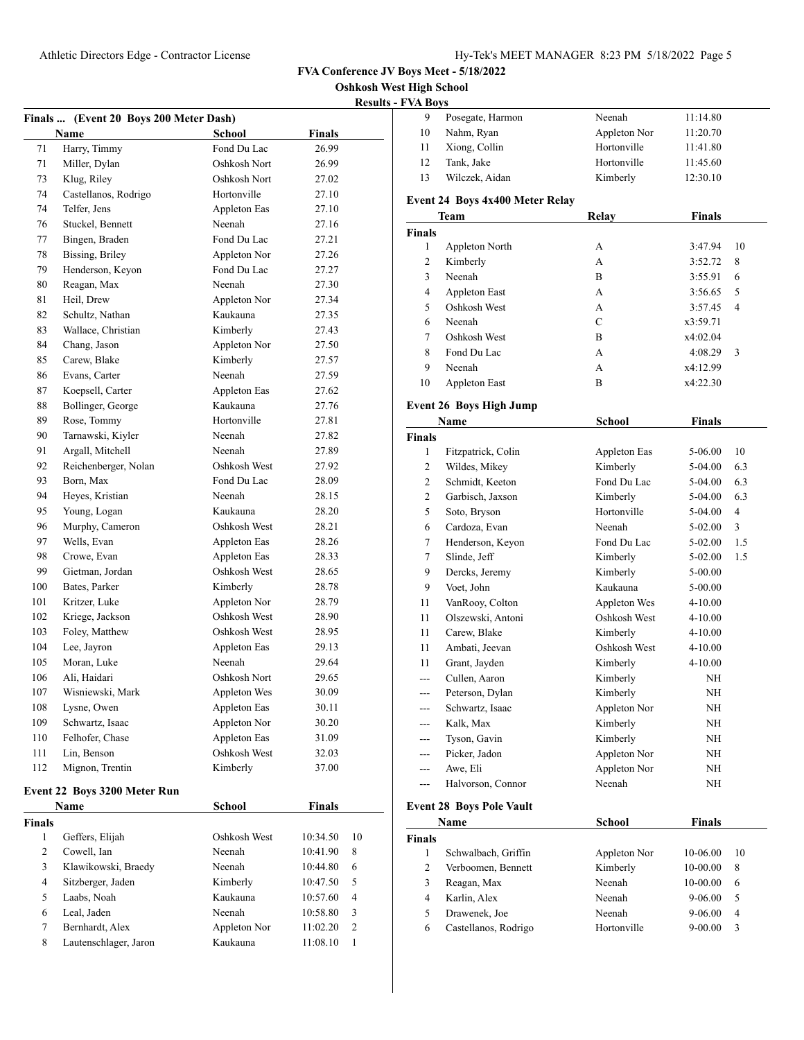**est High School** 

|              |                                                       |               |               | <b>Oshkosh We</b> |
|--------------|-------------------------------------------------------|---------------|---------------|-------------------|
|              |                                                       |               |               | <b>Results</b>    |
|              | Finals  (Event 20 Boys 200 Meter Dash)<br><b>Name</b> | School        | Finals        |                   |
| 71           | Harry, Timmy                                          | Fond Du Lac   | 26.99         |                   |
| 71           | Miller, Dylan                                         | Oshkosh Nort  | 26.99         |                   |
| 73           | Klug, Riley                                           | Oshkosh Nort  | 27.02         |                   |
| 74           | Castellanos, Rodrigo                                  | Hortonville   | 27.10         |                   |
|              | Telfer, Jens                                          |               |               |                   |
| 74           |                                                       | Appleton Eas  | 27.10         |                   |
| 76           | Stuckel, Bennett                                      | Neenah        | 27.16         |                   |
| 77           | Bingen, Braden                                        | Fond Du Lac   | 27.21         |                   |
| 78           | Bissing, Briley                                       | Appleton Nor  | 27.26         |                   |
| 79           | Henderson, Keyon                                      | Fond Du Lac   | 27.27         |                   |
| 80           | Reagan, Max                                           | Neenah        | 27.30         |                   |
| 81           | Heil, Drew                                            | Appleton Nor  | 27.34         |                   |
| 82           | Schultz, Nathan                                       | Kaukauna      | 27.35         |                   |
| 83           | Wallace, Christian                                    | Kimberly      | 27.43         |                   |
| 84           | Chang, Jason                                          | Appleton Nor  | 27.50         |                   |
| 85           | Carew, Blake                                          | Kimberly      | 27.57         |                   |
| 86           | Evans, Carter                                         | Neenah        | 27.59         |                   |
| 87           | Koepsell, Carter                                      | Appleton Eas  | 27.62         |                   |
| 88           | Bollinger, George                                     | Kaukauna      | 27.76         |                   |
| 89           | Rose, Tommy                                           | Hortonville   | 27.81         |                   |
| 90           | Tarnawski, Kiyler                                     | Neenah        | 27.82         |                   |
| 91           | Argall, Mitchell                                      | Neenah        | 27.89         |                   |
| 92           | Reichenberger, Nolan                                  | Oshkosh West  | 27.92         |                   |
| 93           | Born, Max                                             | Fond Du Lac   | 28.09         |                   |
| 94           | Heyes, Kristian                                       | Neenah        | 28.15         |                   |
| 95           | Young, Logan                                          | Kaukauna      | 28.20         |                   |
| 96           | Murphy, Cameron                                       | Oshkosh West  | 28.21         |                   |
| 97           | Wells, Evan                                           | Appleton Eas  | 28.26         |                   |
| 98           | Crowe, Evan                                           | Appleton Eas  | 28.33         |                   |
| 99           | Gietman, Jordan                                       | Oshkosh West  | 28.65         |                   |
| 100          | Bates, Parker                                         | Kimberly      | 28.78         |                   |
| 101          | Kritzer, Luke                                         | Appleton Nor  | 28.79         |                   |
| 102          | Kriege, Jackson                                       | Oshkosh West  | 28.90         |                   |
| 103          | Foley, Matthew                                        | Oshkosh West  | 28.95         |                   |
| 104          | Lee, Jayron                                           | Appleton Eas  | 29.13         |                   |
| 105          | Moran, Luke                                           | Neenah        | 29.64         |                   |
| 106          | Ali, Haidari                                          | Oshkosh Nort  | 29.65         |                   |
| 107          | Wisniewski, Mark                                      | Appleton Wes  | 30.09         |                   |
| 108          | Lysne, Owen                                           | Appleton Eas  | 30.11         |                   |
| 109          | Schwartz, Isaac                                       | Appleton Nor  | 30.20         |                   |
| 110          | Felhofer, Chase                                       | Appleton Eas  | 31.09         |                   |
| 111          | Lin, Benson                                           | Oshkosh West  | 32.03         |                   |
| 112          |                                                       |               |               |                   |
|              | Mignon, Trentin                                       | Kimberly      | 37.00         |                   |
|              | Event 22 Boys 3200 Meter Run                          |               |               |                   |
|              | Name                                                  | <b>School</b> | <b>Finals</b> |                   |
| Finals       |                                                       |               |               |                   |
| $\mathbf{1}$ | Geffers, Elijah                                       | Oshkosh West  | 10:34.50      | 10                |
| 2            | Cowell, Ian                                           | Neenah        | 10:41.90      | 8                 |

 Klawikowski, Braedy Neenah 10:44.80 6 Sitzberger, Jaden Kimberly 10:47.50 5 Laabs, Noah Kaukauna 10:57.60 4 Leal, Jaden Neenah 10:58.80 3 7 Bernhardt, Alex Appleton Nor 11:02.20 2 Lautenschlager, Jaron Kaukauna 11:08.10 1

| - FVA Boys |                  |              |          |  |
|------------|------------------|--------------|----------|--|
| 9          | Posegate, Harmon | Neenah       | 11:14.80 |  |
| 10         | Nahm, Ryan       | Appleton Nor | 11:20.70 |  |
| 11         | Xiong, Collin    | Hortonville  | 11:41.80 |  |
| 12         | Tank, Jake       | Hortonville  | 11:45.60 |  |
| 13         | Wilczek, Aidan   | Kimberly     | 12:30.10 |  |

#### **Event 24 Boys 4x400 Meter Relay**

|                | Team                            | Relay         | <b>Finals</b> |     |
|----------------|---------------------------------|---------------|---------------|-----|
| <b>Finals</b>  |                                 |               |               |     |
| 1              | Appleton North                  | А             | 3:47.94       | 10  |
| 2              | Kimberly                        | A             | 3:52.72       | 8   |
| 3              | Neenah                          | B             | 3:55.91       | 6   |
| 4              | Appleton East                   | А             | 3:56.65       | 5   |
| 5              | Oshkosh West                    | A             | 3:57.45       | 4   |
| 6              | Neenah                          | $\mathbf C$   | x3:59.71      |     |
| 7              | Oshkosh West                    | B             | x4:02.04      |     |
| 8              | Fond Du Lac                     | A             | 4:08.29       | 3   |
| 9              | Neenah                          | A             | x4:12.99      |     |
| 10             | Appleton East                   | B             | x4:22.30      |     |
|                | <b>Event 26 Boys High Jump</b>  |               |               |     |
|                | Name                            | <b>School</b> | Finals        |     |
| Finals         |                                 |               |               |     |
| 1              | Fitzpatrick, Colin              | Appleton Eas  | 5-06.00       | 10  |
| 2              | Wildes, Mikey                   | Kimberly      | 5-04.00       | 6.3 |
| 2              | Schmidt, Keeton                 | Fond Du Lac   | 5-04.00       | 6.3 |
| 2              | Garbisch, Jaxson                | Kimberly      | 5-04.00       | 6.3 |
| 5              | Soto, Bryson                    | Hortonville   | 5-04.00       | 4   |
| 6              | Cardoza, Evan                   | Neenah        | 5-02.00       | 3   |
| 7              | Henderson, Keyon                | Fond Du Lac   | 5-02.00       | 1.5 |
| 7              | Slinde, Jeff                    | Kimberly      | 5-02.00       | 1.5 |
| 9              | Dercks, Jeremy                  | Kimberly      | 5-00.00       |     |
| 9              | Voet, John                      | Kaukauna      | 5-00.00       |     |
| 11             | VanRooy, Colton                 | Appleton Wes  | 4-10.00       |     |
| 11             | Olszewski, Antoni               | Oshkosh West  | 4-10.00       |     |
| 11             | Carew, Blake                    | Kimberly      | 4-10.00       |     |
| 11             | Ambati, Jeevan                  | Oshkosh West  | 4-10.00       |     |
| 11             | Grant, Jayden                   | Kimberly      | 4-10.00       |     |
| $\overline{a}$ | Cullen, Aaron                   | Kimberly      | NH            |     |
| $-$            | Peterson, Dylan                 | Kimberly      | NH            |     |
| $---$          | Schwartz, Isaac                 | Appleton Nor  | NH            |     |
| ---            | Kalk, Max                       | Kimberly      | NH            |     |
|                | Tyson, Gavin                    | Kimberly      | NH            |     |
|                | Picker, Jadon                   | Appleton Nor  | NH            |     |
| ---            | Awe, Eli                        | Appleton Nor  | NH            |     |
| $---$          | Halvorson, Connor               | Neenah        | NH            |     |
|                | <b>Event 28 Boys Pole Vault</b> |               |               |     |
|                | Name                            | <b>School</b> | Finals        |     |
| <b>Finals</b>  |                                 |               |               |     |
| 1              | Schwalbach, Griffin             | Appleton Nor  | 10-06.00      | 10  |
| 2              | Verboomen, Bennett              | Kimberly      | 10-00.00      | 8   |
| 3              | Reagan, Max                     | Neenah        | 10-00.00      | 6   |
| 4              | Karlin, Alex                    | Neenah        | 9-06.00       | 5   |
| 5              | Drawenek, Joe                   | Neenah        | 9-06.00       | 4   |
| 6              | Castellanos, Rodrigo            | Hortonville   | $9 - 00.00$   | 3   |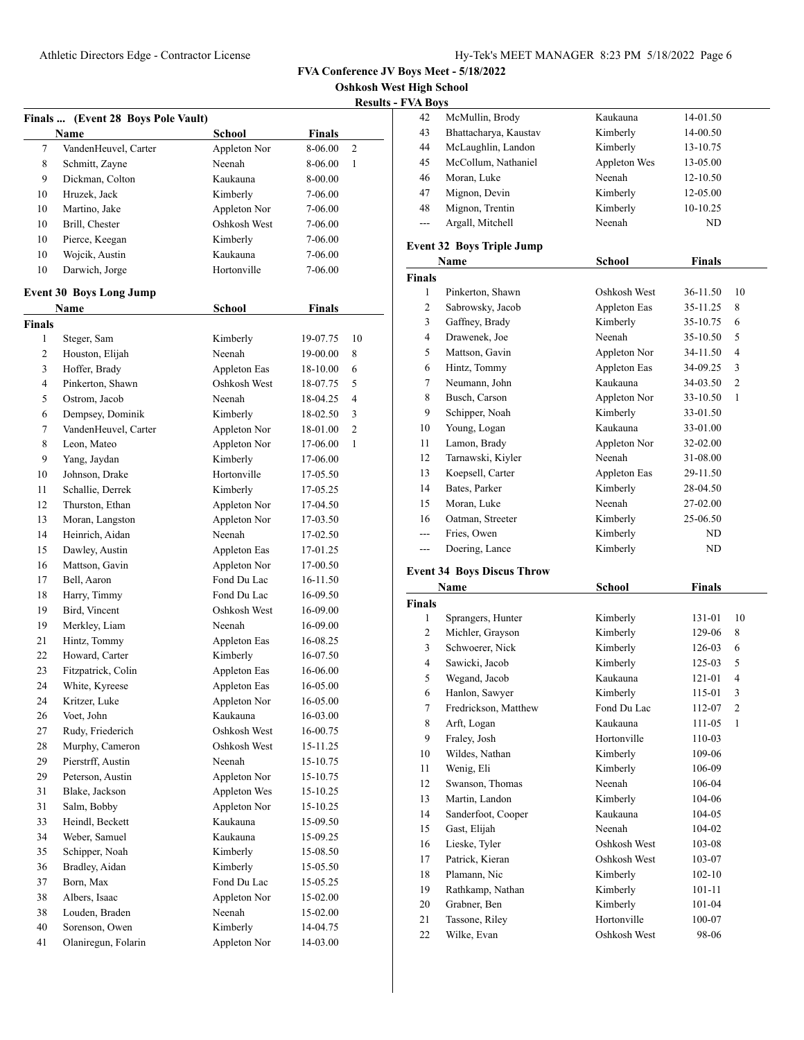**Oshkosh West High School**

| <b>Results - FVA Boys</b> |
|---------------------------|
|---------------------------|

|               |                                    |                          |               | resuns |
|---------------|------------------------------------|--------------------------|---------------|--------|
|               | Finals  (Event 28 Boys Pole Vault) |                          |               |        |
|               | Name                               | <b>School</b>            | <b>Finals</b> |        |
| 7             | VandenHeuvel, Carter               | Appleton Nor             | 8-06.00       | 2      |
| 8             | Schmitt, Zayne                     | Neenah                   | 8-06.00       | 1      |
| 9             | Dickman, Colton                    | Kaukauna                 | 8-00.00       |        |
| 10            | Hruzek, Jack                       | Kimberly                 | 7-06.00       |        |
| 10            | Martino, Jake                      | Appleton Nor             | 7-06.00       |        |
| 10            | Brill, Chester                     | Oshkosh West             | 7-06.00       |        |
| 10            | Pierce, Keegan                     | Kimberly                 | 7-06.00       |        |
| 10            | Wojcik, Austin                     | Kaukauna                 | 7-06.00       |        |
| 10            | Darwich, Jorge                     | Hortonville              | 7-06.00       |        |
|               | <b>Event 30 Boys Long Jump</b>     |                          |               |        |
|               | Name                               | <b>School</b>            | <b>Finals</b> |        |
| <b>Finals</b> |                                    |                          |               |        |
| 1             | Steger, Sam                        | Kimberly                 | 19-07.75      | 10     |
| 2             | Houston, Elijah                    | Neenah                   | 19-00.00      | 8      |
| 3             | Hoffer, Brady                      | Appleton Eas             | 18-10.00      | 6      |
| 4             | Pinkerton, Shawn                   | Oshkosh West             | 18-07.75      | 5      |
| 5             | Ostrom, Jacob                      | Neenah                   | 18-04.25      | 4      |
| 6             | Dempsey, Dominik                   | Kimberly                 | 18-02.50      | 3      |
| 7             | VandenHeuvel, Carter               | Appleton Nor             | 18-01.00      | 2      |
| 8             | Leon, Mateo                        | Appleton Nor             | 17-06.00      | 1      |
| 9             | Yang, Jaydan                       | Kimberly                 | 17-06.00      |        |
| 10            | Johnson, Drake                     | Hortonville              | 17-05.50      |        |
| 11            | Schallie, Derrek                   | Kimberly                 | 17-05.25      |        |
| 12            | Thurston, Ethan                    | Appleton Nor             | 17-04.50      |        |
| 13            | Moran, Langston                    | Appleton Nor             | 17-03.50      |        |
| 14            | Heinrich, Aidan                    | Neenah                   | 17-02.50      |        |
| 15            | Dawley, Austin                     | Appleton Eas             | 17-01.25      |        |
| 16            | Mattson, Gavin                     | Appleton Nor             | 17-00.50      |        |
| 17            | Bell, Aaron                        | Fond Du Lac              | 16-11.50      |        |
| 18            | Harry, Timmy                       | Fond Du Lac              | 16-09.50      |        |
| 19            | Bird, Vincent                      | Oshkosh West             | 16-09.00      |        |
| 19            | Merkley, Liam                      | Neenah                   | 16-09.00      |        |
| 21            | Hintz, Tommy                       | Appleton Eas             | 16-08.25      |        |
| 22            | Howard, Carter                     |                          | 16-07.50      |        |
| 23            | Fitzpatrick, Colin                 | Kimberly<br>Appleton Eas | 16-06.00      |        |
| 24            | White, Kyreese                     | Appleton Eas             | 16-05.00      |        |
|               |                                    |                          |               |        |
| 24            | Kritzer, Luke                      | Appleton Nor             | 16-05.00      |        |
| 26            | Voet, John                         | Kaukauna                 | 16-03.00      |        |
| 27            | Rudy, Friederich                   | Oshkosh West             | 16-00.75      |        |
| 28            | Murphy, Cameron                    | Oshkosh West             | 15-11.25      |        |
| 29            | Pierstrff, Austin                  | Neenah                   | 15-10.75      |        |
| 29            | Peterson, Austin                   | Appleton Nor             | 15-10.75      |        |
| 31            | Blake, Jackson                     | Appleton Wes             | 15-10.25      |        |
| 31            | Salm, Bobby                        | Appleton Nor             | 15-10.25      |        |
| 33            | Heindl, Beckett                    | Kaukauna                 | 15-09.50      |        |
| 34            | Weber, Samuel                      | Kaukauna                 | 15-09.25      |        |
| 35            | Schipper, Noah                     | Kimberly                 | 15-08.50      |        |
| 36            | Bradley, Aidan                     | Kimberly                 | 15-05.50      |        |
| 37            | Born, Max                          | Fond Du Lac              | 15-05.25      |        |
| 38            | Albers, Isaac                      | Appleton Nor             | 15-02.00      |        |
| 38            | Louden, Braden                     | Neenah                   | 15-02.00      |        |
| 40            | Sorenson, Owen                     | Kimberly                 | 14-04.75      |        |
| 41            | Olaniregun, Folarin                | Appleton Nor             | 14-03.00      |        |

| 42  | McMullin, Brody       | Kaukauna     | 14-01.50 |
|-----|-----------------------|--------------|----------|
| 43  | Bhattacharya, Kaustav | Kimberly     | 14-00.50 |
| 44  | McLaughlin, Landon    | Kimberly     | 13-10.75 |
| 45  | McCollum, Nathaniel   | Appleton Wes | 13-05.00 |
| 46  | Moran, Luke           | Neenah       | 12-10.50 |
| 47  | Mignon, Devin         | Kimberly     | 12-05.00 |
| 48  | Mignon, Trentin       | Kimberly     | 10-10.25 |
| $-$ | Argall, Mitchell      | Neenah       | ND       |

# **Event 32 Boys Triple Jump**

|                | Name              | School       | Finals   |                |
|----------------|-------------------|--------------|----------|----------------|
| <b>Finals</b>  |                   |              |          |                |
| 1              | Pinkerton, Shawn  | Oshkosh West | 36-11.50 | 10             |
| $\overline{c}$ | Sabrowsky, Jacob  | Appleton Eas | 35-11.25 | 8              |
| 3              | Gaffney, Brady    | Kimberly     | 35-10.75 | 6              |
| 4              | Drawenek, Joe     | Neenah       | 35-10.50 | 5              |
| 5              | Mattson, Gavin    | Appleton Nor | 34-11.50 | 4              |
| 6              | Hintz, Tommy      | Appleton Eas | 34-09.25 | 3              |
| 7              | Neumann, John     | Kaukauna     | 34-03.50 | $\overline{2}$ |
| 8              | Busch, Carson     | Appleton Nor | 33-10.50 | 1              |
| 9              | Schipper, Noah    | Kimberly     | 33-01.50 |                |
| 10             | Young, Logan      | Kaukauna     | 33-01.00 |                |
| 11             | Lamon, Brady      | Appleton Nor | 32-02.00 |                |
| 12             | Tarnawski, Kiyler | Neenah       | 31-08.00 |                |
| 13             | Koepsell, Carter  | Appleton Eas | 29-11.50 |                |
| 14             | Bates, Parker     | Kimberly     | 28-04.50 |                |
| 15             | Moran, Luke       | Neenah       | 27-02.00 |                |
| 16             | Oatman, Streeter  | Kimberly     | 25-06.50 |                |
| ---            | Fries, Owen       | Kimberly     | ND       |                |
| ---            | Doering, Lance    | Kimberly     | ND       |                |

# **Event 34 Boys Discus Throw**

|                | Name                 | School       | Finals     |                |
|----------------|----------------------|--------------|------------|----------------|
| <b>Finals</b>  |                      |              |            |                |
| 1              | Sprangers, Hunter    | Kimberly     | 131-01     | 10             |
| 2              | Michler, Grayson     | Kimberly     | 129-06     | 8              |
| 3              | Schwoerer, Nick      | Kimberly     | 126-03     | 6              |
| $\overline{4}$ | Sawicki, Jacob       | Kimberly     | 125-03     | 5              |
| 5              | Wegand, Jacob        | Kaukauna     | 121-01     | $\overline{4}$ |
| 6              | Hanlon, Sawyer       | Kimberly     | 115-01     | 3              |
| 7              | Fredrickson, Matthew | Fond Du Lac  | 112-07     | $\overline{2}$ |
| 8              | Arft, Logan          | Kaukauna     | 111-05     | 1              |
| 9              | Fraley, Josh         | Hortonville  | 110-03     |                |
| 10             | Wildes, Nathan       | Kimberly     | 109-06     |                |
| 11             | Wenig, Eli           | Kimberly     | 106-09     |                |
| 12             | Swanson, Thomas      | Neenah       | 106-04     |                |
| 13             | Martin, Landon       | Kimberly     | 104-06     |                |
| 14             | Sanderfoot, Cooper   | Kaukauna     | 104-05     |                |
| 15             | Gast, Elijah         | Neenah       | 104-02     |                |
| 16             | Lieske, Tyler        | Oshkosh West | 103-08     |                |
| 17             | Patrick, Kieran      | Oshkosh West | 103-07     |                |
| 18             | Plamann, Nic         | Kimberly     | $102 - 10$ |                |
| 19             | Rathkamp, Nathan     | Kimberly     | $101 - 11$ |                |
| 20             | Grabner, Ben         | Kimberly     | 101-04     |                |
| 21             | Tassone, Riley       | Hortonville  | 100-07     |                |
| 22             | Wilke, Evan          | Oshkosh West | 98-06      |                |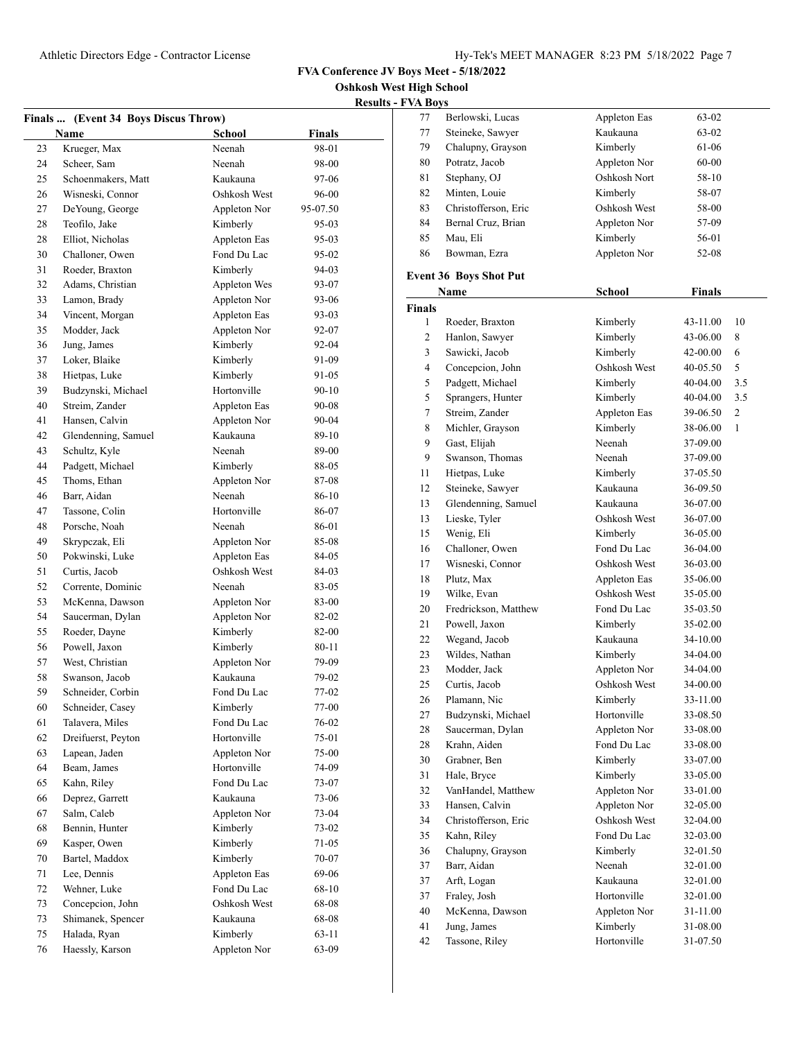**Oshkosh West High School**

| <b>Results - FVA Boys</b> |  |  |
|---------------------------|--|--|

|    | Finals  (Event 34 Boys Discus Throw) |               |               |
|----|--------------------------------------|---------------|---------------|
|    | Name                                 | <b>School</b> | <b>Finals</b> |
| 23 | Krueger, Max                         | Neenah        | 98-01         |
| 24 | Scheer, Sam                          | Neenah        | 98-00         |
| 25 | Schoenmakers, Matt                   | Kaukauna      | 97-06         |
| 26 | Wisneski, Connor                     | Oshkosh West  | 96-00         |
| 27 | DeYoung, George                      | Appleton Nor  | 95-07.50      |
| 28 | Teofilo, Jake                        | Kimberly      | 95-03         |
| 28 | Elliot, Nicholas                     | Appleton Eas  | 95-03         |
| 30 | Challoner, Owen                      | Fond Du Lac   | 95-02         |
| 31 | Roeder, Braxton                      | Kimberly      | 94-03         |
| 32 | Adams, Christian                     | Appleton Wes  | 93-07         |
| 33 | Lamon, Brady                         | Appleton Nor  | 93-06         |
| 34 | Vincent, Morgan                      | Appleton Eas  | 93-03         |
| 35 | Modder, Jack                         | Appleton Nor  | 92-07         |
| 36 | Jung, James                          | Kimberly      | 92-04         |
| 37 | Loker, Blaike                        | Kimberly      | 91-09         |
| 38 | Hietpas, Luke                        | Kimberly      | 91-05         |
| 39 | Budzynski, Michael                   | Hortonville   | $90 - 10$     |
| 40 | Streim, Zander                       | Appleton Eas  | 90-08         |
| 41 | Hansen, Calvin                       | Appleton Nor  | $90 - 04$     |
| 42 | Glendenning, Samuel                  | Kaukauna      | 89-10         |
| 43 | Schultz, Kyle                        | Neenah        | 89-00         |
| 44 | Padgett, Michael                     | Kimberly      | 88-05         |
| 45 | Thoms, Ethan                         | Appleton Nor  | 87-08         |
| 46 | Barr, Aidan                          | Neenah        | 86-10         |
| 47 | Tassone, Colin                       | Hortonville   | 86-07         |
| 48 | Porsche, Noah                        | Neenah        | 86-01         |
| 49 | Skrypczak, Eli                       | Appleton Nor  | 85-08         |
| 50 | Pokwinski, Luke                      | Appleton Eas  | 84-05         |
| 51 | Curtis, Jacob                        | Oshkosh West  | 84-03         |
| 52 | Corrente, Dominic                    | Neenah        | 83-05         |
| 53 | McKenna, Dawson                      | Appleton Nor  | 83-00         |
| 54 | Saucerman, Dylan                     | Appleton Nor  | 82-02         |
| 55 | Roeder, Dayne                        | Kimberly      | 82-00         |
| 56 | Powell, Jaxon                        | Kimberly      | 80-11         |
| 57 | West, Christian                      | Appleton Nor  | 79-09         |
| 58 | Swanson, Jacob                       | Kaukauna      | 79-02         |
| 59 | Schneider, Corbin                    | Fond Du Lac   | $77-02$       |
| 60 | Schneider, Casey                     | Kimberly      | 77-00         |
| 61 | Talavera, Miles                      | Fond Du Lac   | 76-02         |
| 62 | Dreifuerst, Peyton                   | Hortonville   | 75-01         |
| 63 | Lapean, Jaden                        | Appleton Nor  | 75-00         |
| 64 | Beam, James                          | Hortonville   | 74-09         |
| 65 | Kahn, Riley                          | Fond Du Lac   | 73-07         |
| 66 | Deprez, Garrett                      | Kaukauna      | 73-06         |
| 67 | Salm, Caleb                          | Appleton Nor  | 73-04         |
| 68 | Bennin, Hunter                       | Kimberly      | 73-02         |
| 69 | Kasper, Owen                         | Kimberly      | 71-05         |
| 70 | Bartel, Maddox                       | Kimberly      | 70-07         |
| 71 | Lee, Dennis                          | Appleton Eas  | 69-06         |
| 72 | Wehner, Luke                         | Fond Du Lac   | 68-10         |
| 73 | Concepcion, John                     | Oshkosh West  | 68-08         |
| 73 | Shimanek, Spencer                    | Kaukauna      | 68-08         |
| 75 | Halada, Ryan                         | Kimberly      | 63-11         |
| 76 | Haessly, Karson                      | Appleton Nor  | 63-09         |

| F VA BOYS     |                               |               |               |     |
|---------------|-------------------------------|---------------|---------------|-----|
| 77            | Berlowski, Lucas              | Appleton Eas  | 63-02         |     |
| 77            | Steineke, Sawyer              | Kaukauna      | 63-02         |     |
| 79            | Chalupny, Grayson             | Kimberly      | 61-06         |     |
| 80            | Potratz, Jacob                | Appleton Nor  | 60-00         |     |
| 81            | Stephany, OJ                  | Oshkosh Nort  | 58-10         |     |
| 82            | Minten, Louie                 | Kimberly      | 58-07         |     |
| 83            | Christofferson, Eric          | Oshkosh West  | 58-00         |     |
| 84            | Bernal Cruz, Brian            | Appleton Nor  | 57-09         |     |
| 85            | Mau, Eli                      | Kimberly      | 56-01         |     |
| 86            | Bowman, Ezra                  | Appleton Nor  | 52-08         |     |
|               | <b>Event 36 Boys Shot Put</b> |               |               |     |
|               | Name                          | <b>School</b> | <b>Finals</b> |     |
| <b>Finals</b> |                               |               |               |     |
| 1             | Roeder, Braxton               | Kimberly      | 43-11.00      | 10  |
| 2             | Hanlon, Sawyer                | Kimberly      | 43-06.00      | 8   |
| 3             | Sawicki, Jacob                | Kimberly      | 42-00.00      | 6   |
| 4             | Concepcion, John              | Oshkosh West  | $40 - 05.50$  | 5   |
| 5             | Padgett, Michael              | Kimberly      | 40-04.00      | 3.5 |
| 5             | Sprangers, Hunter             | Kimberly      | 40-04.00      | 3.5 |
| 7             | Streim, Zander                | Appleton Eas  | 39-06.50      | 2   |
| 8             | Michler, Grayson              | Kimberly      | 38-06.00      | 1   |
| 9             | Gast, Elijah                  | Neenah        | 37-09.00      |     |
| 9             | Swanson, Thomas               | Neenah        | 37-09.00      |     |
| 11            | Hietpas, Luke                 | Kimberly      | 37-05.50      |     |
| 12            | Steineke, Sawyer              | Kaukauna      | 36-09.50      |     |
| 13            | Glendenning, Samuel           | Kaukauna      | 36-07.00      |     |
| 13            | Lieske, Tyler                 | Oshkosh West  | 36-07.00      |     |
| 15            | Wenig, Eli                    | Kimberly      | 36-05.00      |     |
| 16            | Challoner, Owen               | Fond Du Lac   | 36-04.00      |     |
| 17            | Wisneski, Connor              | Oshkosh West  | 36-03.00      |     |
| 18            | Plutz, Max                    | Appleton Eas  | 35-06.00      |     |
| 19            | Wilke, Evan                   | Oshkosh West  | 35-05.00      |     |
| 20            | Fredrickson, Matthew          | Fond Du Lac   | 35-03.50      |     |
| 21            | Powell, Jaxon                 | Kimberly      | 35-02.00      |     |
| 22            | Wegand, Jacob                 | Kaukauna      | 34-10.00      |     |
| 23            | Wildes, Nathan                | Kimberly      | 34-04.00      |     |
| 23            | Modder, Jack                  | Appleton Nor  | 34-04.00      |     |
| 25            | Curtis, Jacob                 | Oshkosh West  | 34-00.00      |     |
| 26            | Plamann, Nic                  | Kimberly      | 33-11.00      |     |
| 27            | Budzynski, Michael            | Hortonville   | 33-08.50      |     |
| 28            | Saucerman, Dylan              | Appleton Nor  | 33-08.00      |     |
| 28            | Krahn, Aiden                  | Fond Du Lac   | 33-08.00      |     |
| 30            | Grabner, Ben                  | Kimberly      | 33-07.00      |     |
| 31            | Hale, Bryce                   | Kimberly      | 33-05.00      |     |
| 32            | VanHandel, Matthew            | Appleton Nor  | 33-01.00      |     |
| 33            | Hansen, Calvin                | Appleton Nor  | 32-05.00      |     |
| 34            | Christofferson, Eric          | Oshkosh West  | 32-04.00      |     |
| 35            | Kahn, Riley                   | Fond Du Lac   | 32-03.00      |     |
| 36            | Chalupny, Grayson             | Kimberly      | 32-01.50      |     |
| 37            | Barr, Aidan                   | Neenah        | 32-01.00      |     |
| 37            | Arft, Logan                   | Kaukauna      | 32-01.00      |     |
| 37            | Fraley, Josh                  | Hortonville   | 32-01.00      |     |
| 40            | McKenna, Dawson               | Appleton Nor  | 31-11.00      |     |
| 41            | Jung, James                   | Kimberly      | 31-08.00      |     |
| 42            | Tassone, Riley                | Hortonville   | 31-07.50      |     |
|               |                               |               |               |     |